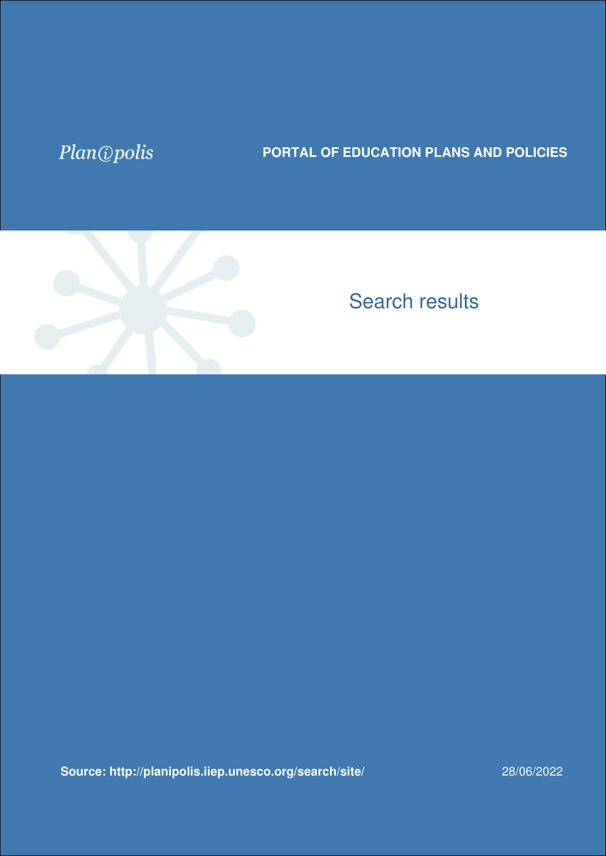## Plan@polis

## **PORTAL OF EDUCATION PLANS AND POLICIES**



## Search results

**[Source: http://planipolis.iiep.unesco.org/search/site/](https://planipolis.iiep.unesco.org/search/site?f%5B0%5D=im_field_countries%3A1047&f%5B1%5D=im_field_countries%3A1026&f%5B2%5D=im_field_languages%3A1598&f%5B3%5D=im_field_countries%3A1196&f%5B4%5D=im_field_keywords%3A3200&f%5B5%5D=im_field_countries%3A1184&f%5B6%5D=im_field_status%3A3263&f%5B7%5D=im_field_ressource_type%3A1254)** 28/06/2022